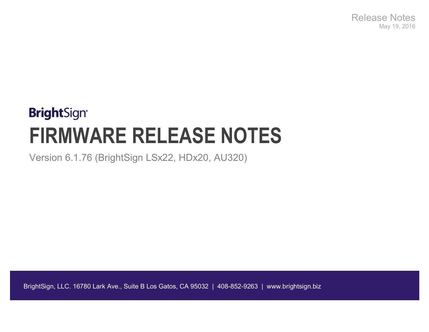Release Notes May 19, 2016

# **BrightSign® FIRMWARE RELEASE NOTES**

Version 6.1.76 (BrightSign LSx22, HDx20, AU320)

BrightSign, LLC. 16780 Lark Ave., Suite B Los Gatos, CA 95032 | 408-852-9263 | www.brightsign.biz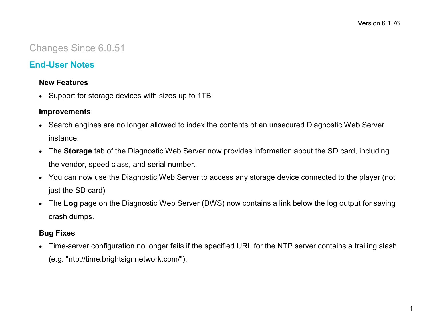# Changes Since 6.0.51

# **End-User Notes**

#### **New Features**

• Support for storage devices with sizes up to 1TB

#### **Improvements**

- Search engines are no longer allowed to index the contents of an unsecured Diagnostic Web Server instance.
- The **Storage** tab of the Diagnostic Web Server now provides information about the SD card, including the vendor, speed class, and serial number.
- You can now use the Diagnostic Web Server to access any storage device connected to the player (not just the SD card)
- The **Log** page on the Diagnostic Web Server (DWS) now contains a link below the log output for saving crash dumps.

## **Bug Fixes**

• Time-server configuration no longer fails if the specified URL for the NTP server contains a trailing slash (e.g. "ntp://time.brightsignnetwork.com/").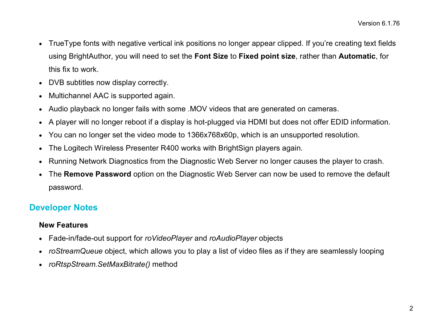- TrueType fonts with negative vertical ink positions no longer appear clipped. If you're creating text fields using BrightAuthor, you will need to set the **Font Size** to **Fixed point size**, rather than **Automatic**, for this fix to work.
- DVB subtitles now display correctly.
- Multichannel AAC is supported again.
- Audio playback no longer fails with some .MOV videos that are generated on cameras.
- A player will no longer reboot if a display is hot-plugged via HDMI but does not offer EDID information.
- You can no longer set the video mode to 1366x768x60p, which is an unsupported resolution.
- The Logitech Wireless Presenter R400 works with BrightSign players again.
- Running Network Diagnostics from the Diagnostic Web Server no longer causes the player to crash.
- The **Remove Password** option on the Diagnostic Web Server can now be used to remove the default password.

# **Developer Notes**

#### **New Features**

- Fade-in/fade-out support for *roVideoPlayer* and *roAudioPlayer* objects
- *roStreamQueue* object, which allows you to play a list of video files as if they are seamlessly looping
- *roRtspStream.SetMaxBitrate()* method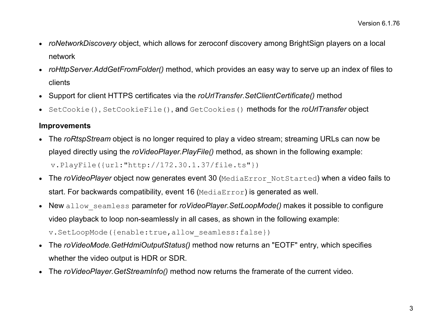- *roNetworkDiscovery* object, which allows for zeroconf discovery among BrightSign players on a local network
- *roHttpServer.AddGetFromFolder()* method, which provides an easy way to serve up an index of files to clients
- Support for client HTTPS certificates via the *roUrlTransfer.SetClientCertificate()* method
- SetCookie(), SetCookieFile(), and GetCookies() methods for the *roUrlTransfer* object

#### **Improvements**

- The *roRtspStream* object is no longer required to play a video stream; streaming URLs can now be played directly using the *roVideoPlayer.PlayFile()* method, as shown in the following example: v.PlayFile({url:"http://172.30.1.37/file.ts"})
- The *roVideoPlayer* object now generates event 30 (MediaError NotStarted) when a video fails to start. For backwards compatibility, event 16 (MediaError) is generated as well.
- New allow seamless parameter for *roVideoPlayer.SetLoopMode()* makes it possible to configure video playback to loop non-seamlessly in all cases, as shown in the following example: v.SetLoopMode({enable:true,allow\_seamless:false})
- The *roVideoMode.GetHdmiOutputStatus()* method now returns an "EOTF" entry, which specifies whether the video output is HDR or SDR.
- The *roVideoPlayer.GetStreamInfo()* method now returns the framerate of the current video.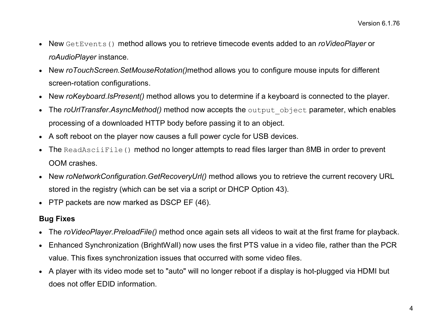- New GetEvents() method allows you to retrieve timecode events added to an *roVideoPlayer* or *roAudioPlayer* instance.
- New *roTouchScreen.SetMouseRotation()*method allows you to configure mouse inputs for different screen-rotation configurations.
- New *roKeyboard.IsPresent()* method allows you to determine if a keyboard is connected to the player.
- The *roUrlTransfer.AsyncMethod()* method now accepts the output object parameter, which enables processing of a downloaded HTTP body before passing it to an object.
- A soft reboot on the player now causes a full power cycle for USB devices.
- The ReadAsciiFile() method no longer attempts to read files larger than 8MB in order to prevent OOM crashes.
- New *roNetworkConfiguration.GetRecoveryUrl()* method allows you to retrieve the current recovery URL stored in the registry (which can be set via a script or DHCP Option 43).
- PTP packets are now marked as DSCP EF (46).

## **Bug Fixes**

- The *roVideoPlayer.PreloadFile()* method once again sets all videos to wait at the first frame for playback.
- Enhanced Synchronization (BrightWall) now uses the first PTS value in a video file, rather than the PCR value. This fixes synchronization issues that occurred with some video files.
- A player with its video mode set to "auto" will no longer reboot if a display is hot-plugged via HDMI but does not offer EDID information.